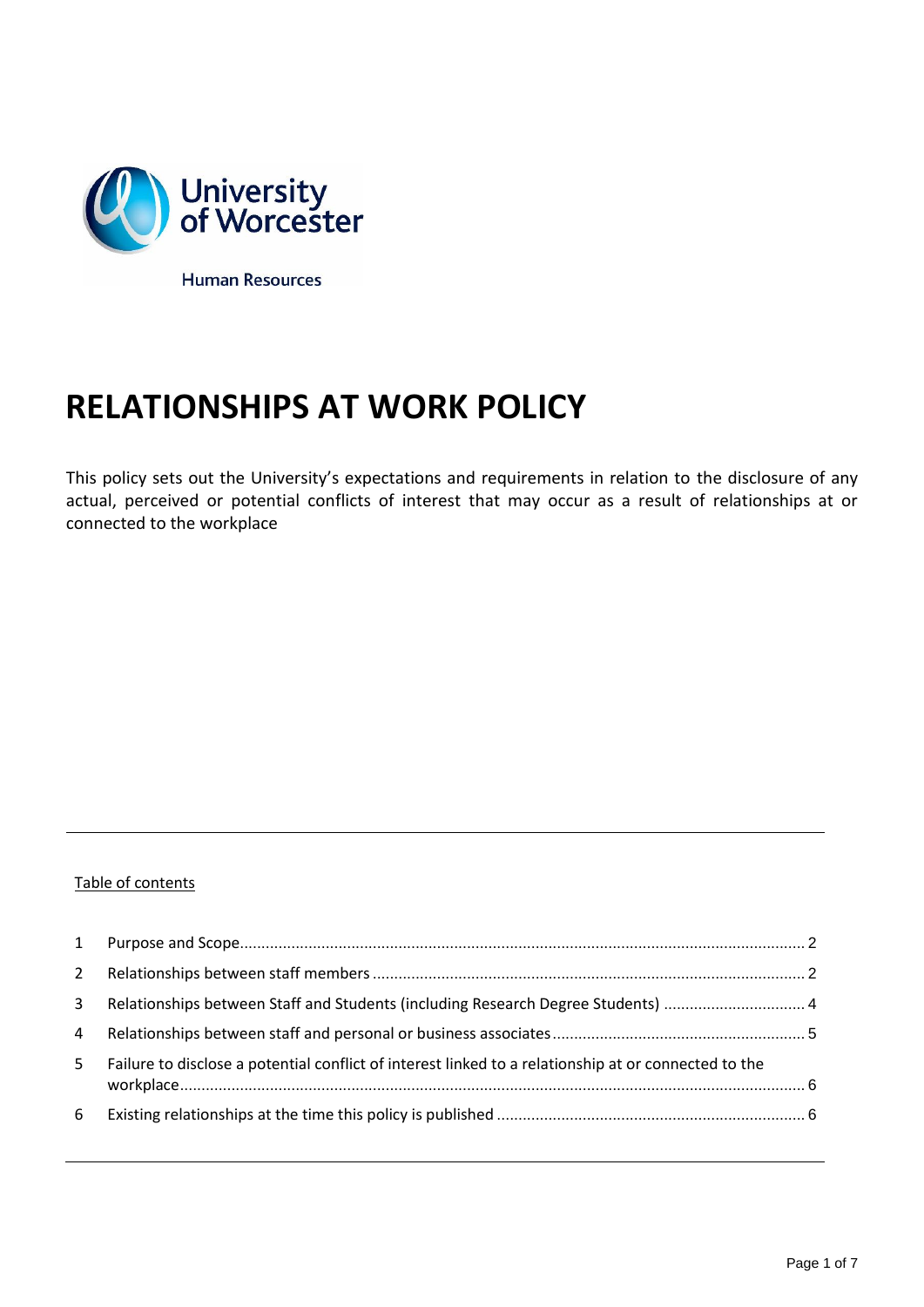

**RELATIONSHIPS AT WORK POLICY**

This policy sets out the University's expectations and requirements in relation to the disclosure of any actual, perceived or potential conflicts of interest that may occur as a result of relationships at or connected to the workplace

# Table of contents

| $2^{\circ}$  |                                                                                                      |  |
|--------------|------------------------------------------------------------------------------------------------------|--|
| $\mathbf{3}$ | Relationships between Staff and Students (including Research Degree Students)  4                     |  |
| 4            |                                                                                                      |  |
| 5            | Failure to disclose a potential conflict of interest linked to a relationship at or connected to the |  |
| 6            |                                                                                                      |  |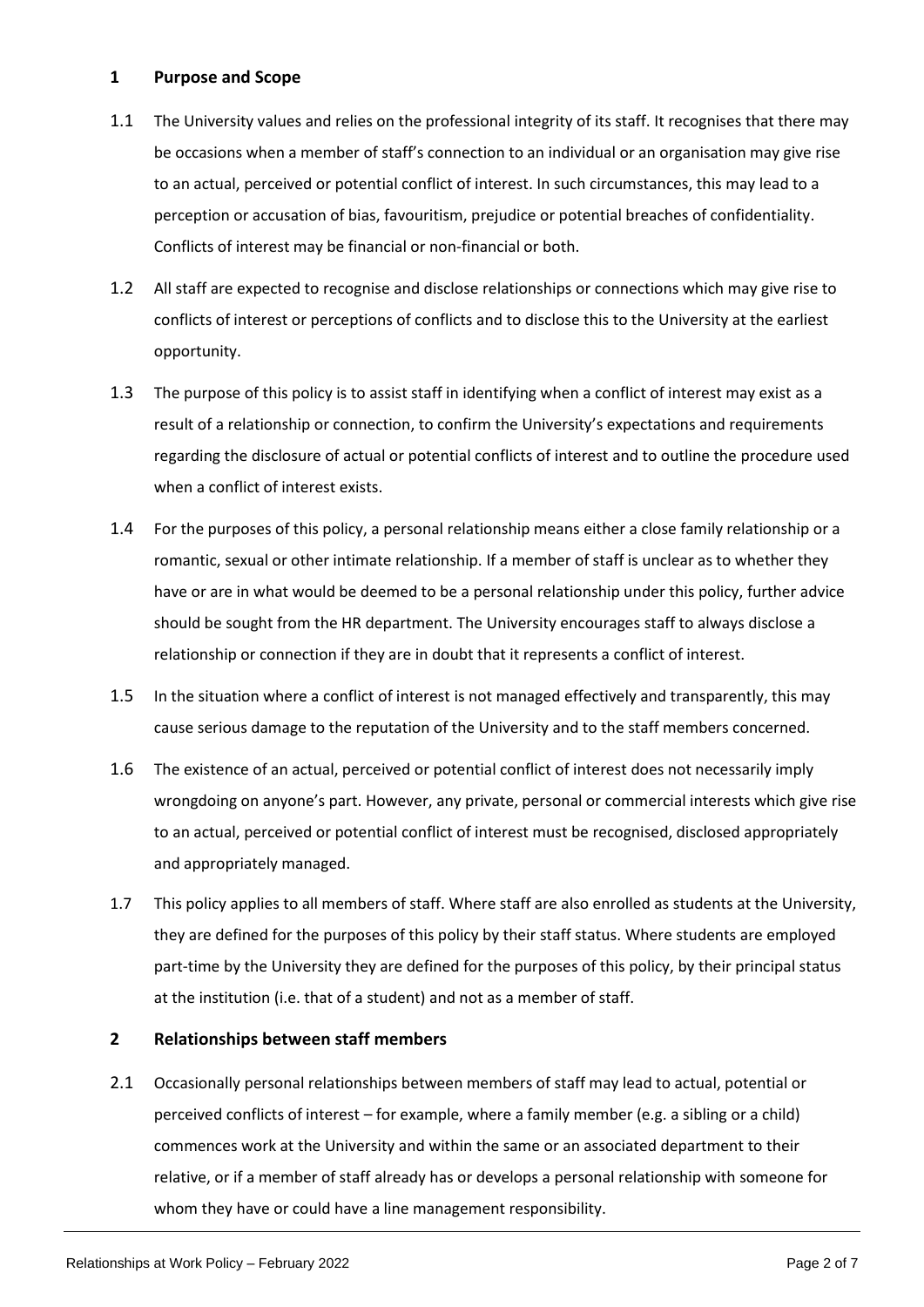# <span id="page-1-0"></span>**1 Purpose and Scope**

- 1.1 The University values and relies on the professional integrity of its staff. It recognises that there may be occasions when a member of staff's connection to an individual or an organisation may give rise to an actual, perceived or potential conflict of interest. In such circumstances, this may lead to a perception or accusation of bias, favouritism, prejudice or potential breaches of confidentiality. Conflicts of interest may be financial or non-financial or both.
- 1.2 All staff are expected to recognise and disclose relationships or connections which may give rise to conflicts of interest or perceptions of conflicts and to disclose this to the University at the earliest opportunity.
- 1.3 The purpose of this policy is to assist staff in identifying when a conflict of interest may exist as a result of a relationship or connection, to confirm the University's expectations and requirements regarding the disclosure of actual or potential conflicts of interest and to outline the procedure used when a conflict of interest exists.
- 1.4 For the purposes of this policy, a personal relationship means either a close family relationship or a romantic, sexual or other intimate relationship. If a member of staff is unclear as to whether they have or are in what would be deemed to be a personal relationship under this policy, further advice should be sought from the HR department. The University encourages staff to always disclose a relationship or connection if they are in doubt that it represents a conflict of interest.
- 1.5 In the situation where a conflict of interest is not managed effectively and transparently, this may cause serious damage to the reputation of the University and to the staff members concerned.
- 1.6 The existence of an actual, perceived or potential conflict of interest does not necessarily imply wrongdoing on anyone's part. However, any private, personal or commercial interests which give rise to an actual, perceived or potential conflict of interest must be recognised, disclosed appropriately and appropriately managed.
- 1.7 This policy applies to all members of staff. Where staff are also enrolled as students at the University, they are defined for the purposes of this policy by their staff status. Where students are employed part-time by the University they are defined for the purposes of this policy, by their principal status at the institution (i.e. that of a student) and not as a member of staff.

#### <span id="page-1-1"></span>**2 Relationships between staff members**

2.1 Occasionally personal relationships between members of staff may lead to actual, potential or perceived conflicts of interest – for example, where a family member (e.g. a sibling or a child) commences work at the University and within the same or an associated department to their relative, or if a member of staff already has or develops a personal relationship with someone for whom they have or could have a line management responsibility.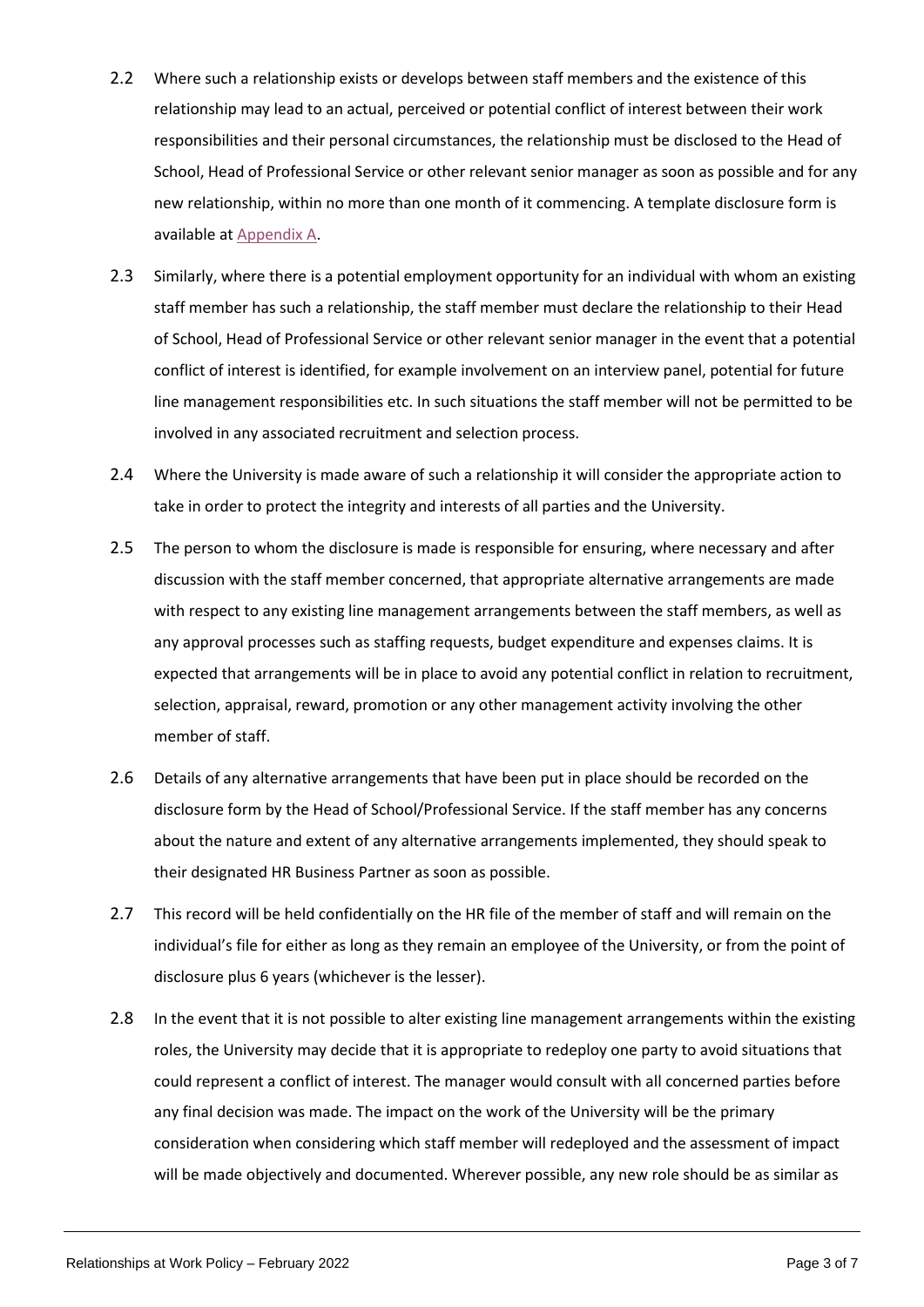- 2.2 Where such a relationship exists or develops between staff members and the existence of this relationship may lead to an actual, perceived or potential conflict of interest between their work responsibilities and their personal circumstances, the relationship must be disclosed to the Head of School, Head of Professional Service or other relevant senior manager as soon as possible and for any new relationship, within no more than one month of it commencing. A template disclosure form is available at [Appendix A.](https://www2.worc.ac.uk/personnel/documents/Relationships-at-Work-Policy-Appendix-A-Staff-Disclosure-Form.docx)
- 2.3 Similarly, where there is a potential employment opportunity for an individual with whom an existing staff member has such a relationship, the staff member must declare the relationship to their Head of School, Head of Professional Service or other relevant senior manager in the event that a potential conflict of interest is identified, for example involvement on an interview panel, potential for future line management responsibilities etc. In such situations the staff member will not be permitted to be involved in any associated recruitment and selection process.
- 2.4 Where the University is made aware of such a relationship it will consider the appropriate action to take in order to protect the integrity and interests of all parties and the University.
- 2.5 The person to whom the disclosure is made is responsible for ensuring, where necessary and after discussion with the staff member concerned, that appropriate alternative arrangements are made with respect to any existing line management arrangements between the staff members, as well as any approval processes such as staffing requests, budget expenditure and expenses claims. It is expected that arrangements will be in place to avoid any potential conflict in relation to recruitment, selection, appraisal, reward, promotion or any other management activity involving the other member of staff.
- 2.6 Details of any alternative arrangements that have been put in place should be recorded on the disclosure form by the Head of School/Professional Service. If the staff member has any concerns about the nature and extent of any alternative arrangements implemented, they should speak to their designated HR Business Partner as soon as possible.
- 2.7 This record will be held confidentially on the HR file of the member of staff and will remain on the individual's file for either as long as they remain an employee of the University, or from the point of disclosure plus 6 years (whichever is the lesser).
- 2.8 In the event that it is not possible to alter existing line management arrangements within the existing roles, the University may decide that it is appropriate to redeploy one party to avoid situations that could represent a conflict of interest. The manager would consult with all concerned parties before any final decision was made. The impact on the work of the University will be the primary consideration when considering which staff member will redeployed and the assessment of impact will be made objectively and documented. Wherever possible, any new role should be as similar as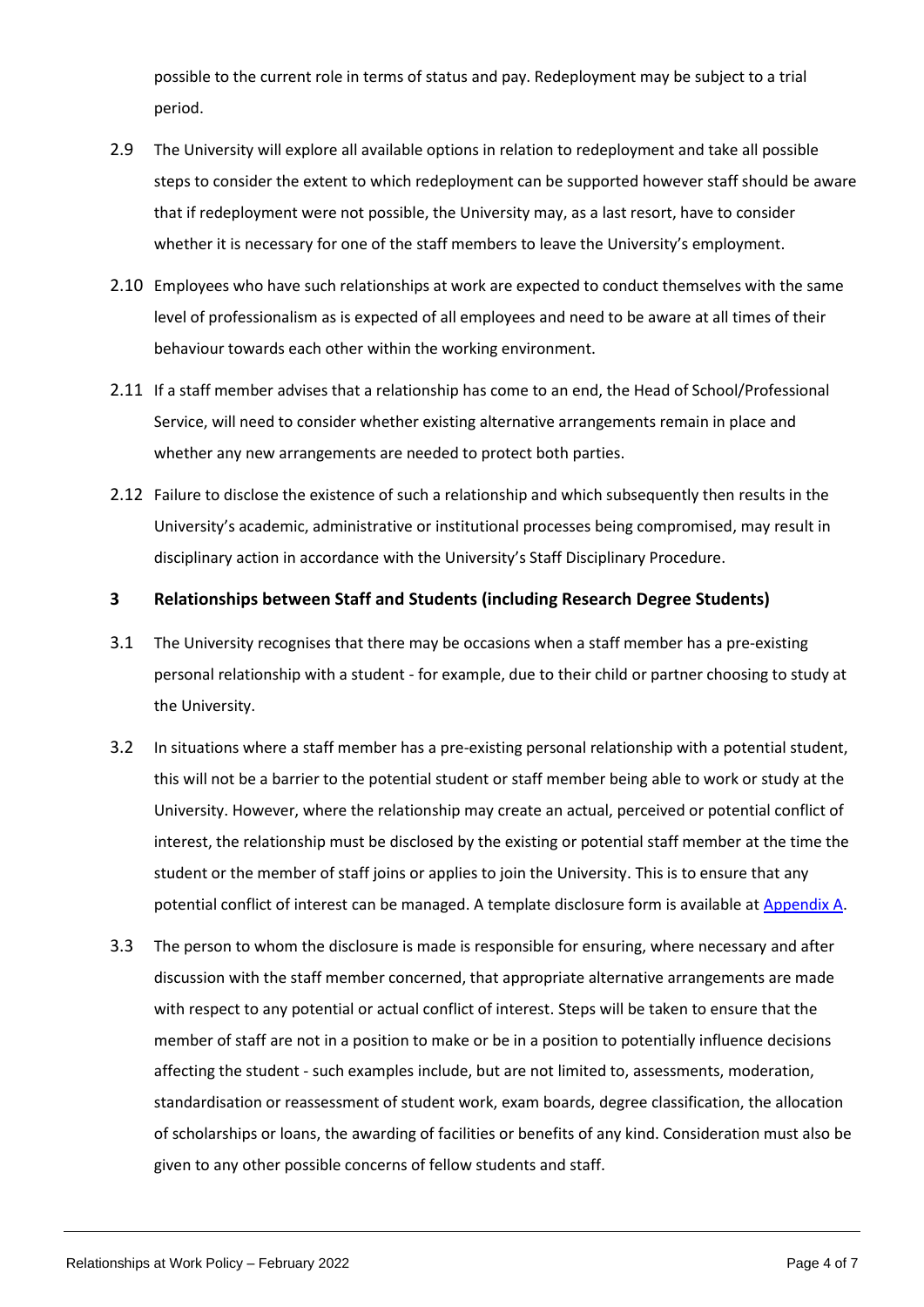possible to the current role in terms of status and pay. Redeployment may be subject to a trial period.

- 2.9 The University will explore all available options in relation to redeployment and take all possible steps to consider the extent to which redeployment can be supported however staff should be aware that if redeployment were not possible, the University may, as a last resort, have to consider whether it is necessary for one of the staff members to leave the University's employment.
- 2.10 Employees who have such relationships at work are expected to conduct themselves with the same level of professionalism as is expected of all employees and need to be aware at all times of their behaviour towards each other within the working environment.
- 2.11 If a staff member advises that a relationship has come to an end, the Head of School/Professional Service, will need to consider whether existing alternative arrangements remain in place and whether any new arrangements are needed to protect both parties.
- 2.12 Failure to disclose the existence of such a relationship and which subsequently then results in the University's academic, administrative or institutional processes being compromised, may result in disciplinary action in accordance with the University's Staff Disciplinary Procedure.

#### <span id="page-3-0"></span>**3 Relationships between Staff and Students (including Research Degree Students)**

- 3.1 The University recognises that there may be occasions when a staff member has a pre-existing personal relationship with a student - for example, due to their child or partner choosing to study at the University.
- 3.2 In situations where a staff member has a pre-existing personal relationship with a potential student, this will not be a barrier to the potential student or staff member being able to work or study at the University. However, where the relationship may create an actual, perceived or potential conflict of interest, the relationship must be disclosed by the existing or potential staff member at the time the student or the member of staff joins or applies to join the University. This is to ensure that any potential conflict of interest can be managed. A template disclosure form is available at [Appendix A.](https://www2.worc.ac.uk/personnel/documents/Relationships-at-Work-Policy-Appendix-A-Staff-Disclosure-Form.docx)
- 3.3 The person to whom the disclosure is made is responsible for ensuring, where necessary and after discussion with the staff member concerned, that appropriate alternative arrangements are made with respect to any potential or actual conflict of interest. Steps will be taken to ensure that the member of staff are not in a position to make or be in a position to potentially influence decisions affecting the student - such examples include, but are not limited to, assessments, moderation, standardisation or reassessment of student work, exam boards, degree classification, the allocation of scholarships or loans, the awarding of facilities or benefits of any kind. Consideration must also be given to any other possible concerns of fellow students and staff.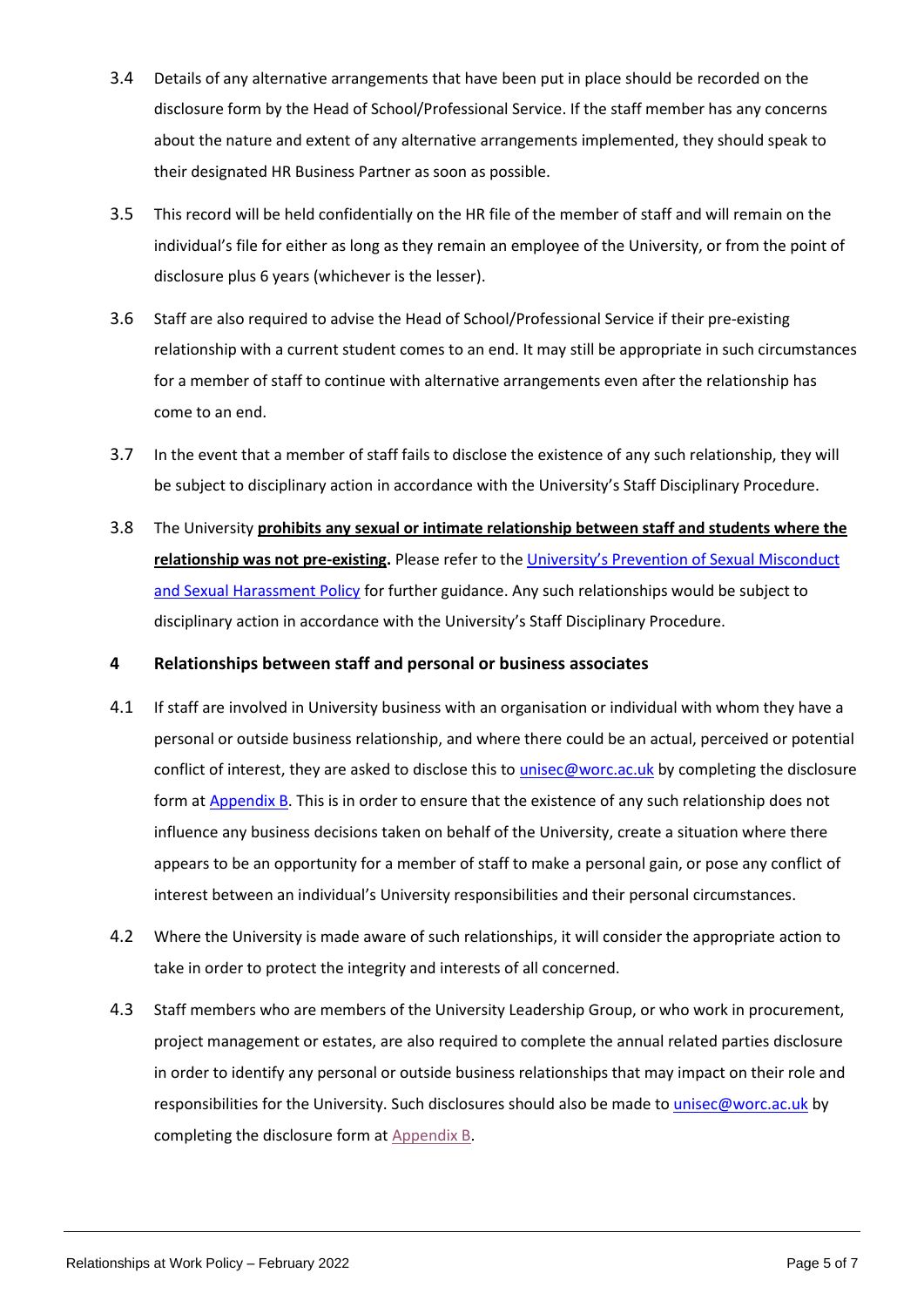- 3.4 Details of any alternative arrangements that have been put in place should be recorded on the disclosure form by the Head of School/Professional Service. If the staff member has any concerns about the nature and extent of any alternative arrangements implemented, they should speak to their designated HR Business Partner as soon as possible.
- 3.5 This record will be held confidentially on the HR file of the member of staff and will remain on the individual's file for either as long as they remain an employee of the University, or from the point of disclosure plus 6 years (whichever is the lesser).
- 3.6 Staff are also required to advise the Head of School/Professional Service if their pre-existing relationship with a current student comes to an end. It may still be appropriate in such circumstances for a member of staff to continue with alternative arrangements even after the relationship has come to an end.
- 3.7 In the event that a member of staff fails to disclose the existence of any such relationship, they will be subject to disciplinary action in accordance with the University's Staff Disciplinary Procedure.
- 3.8 The University **prohibits any sexual or intimate relationship between staff and students where the relationship was not pre-existing.** Please refer to the [University's Prevention of Sexual Misconduct](https://sexual-misconduct.wp.worc.ac.uk/wp-content/uploads/2022/02/Prevention-of-Sexual-Misconduct-and-Sexual-Harassment-Policy-202122.pdf)  [and Sexual Harassment Policy](https://sexual-misconduct.wp.worc.ac.uk/wp-content/uploads/2022/02/Prevention-of-Sexual-Misconduct-and-Sexual-Harassment-Policy-202122.pdf) for further guidance. Any such relationships would be subject to disciplinary action in accordance with the University's Staff Disciplinary Procedure.

# <span id="page-4-0"></span>**4 Relationships between staff and personal or business associates**

- 4.1 If staff are involved in University business with an organisation or individual with whom they have a personal or outside business relationship, and where there could be an actual, perceived or potential conflict of interest, they are asked to disclose this to *[unisec@worc.ac.uk](mailto:unisec@worc.ac.uk)* by completing the disclosure form at [Appendix B.](https://www2.worc.ac.uk/personnel/documents/Relationships-at-Work-Policy-Appendix-B-Related-Parties-Declaration-Form.docx) This is in order to ensure that the existence of any such relationship does not influence any business decisions taken on behalf of the University, create a situation where there appears to be an opportunity for a member of staff to make a personal gain, or pose any conflict of interest between an individual's University responsibilities and their personal circumstances.
- 4.2 Where the University is made aware of such relationships, it will consider the appropriate action to take in order to protect the integrity and interests of all concerned.
- 4.3 Staff members who are members of the University Leadership Group, or who work in procurement, project management or estates, are also required to complete the annual related parties disclosure in order to identify any personal or outside business relationships that may impact on their role and responsibilities for the University. Such disclosures should also be made to [unisec@worc.ac.uk](mailto:unisec@worc.ac.uk) by completing the disclosure form a[t Appendix B.](https://www2.worc.ac.uk/personnel/documents/Relationships-at-Work-Policy-Appendix-B-Related-Parties-Declaration-Form.docx)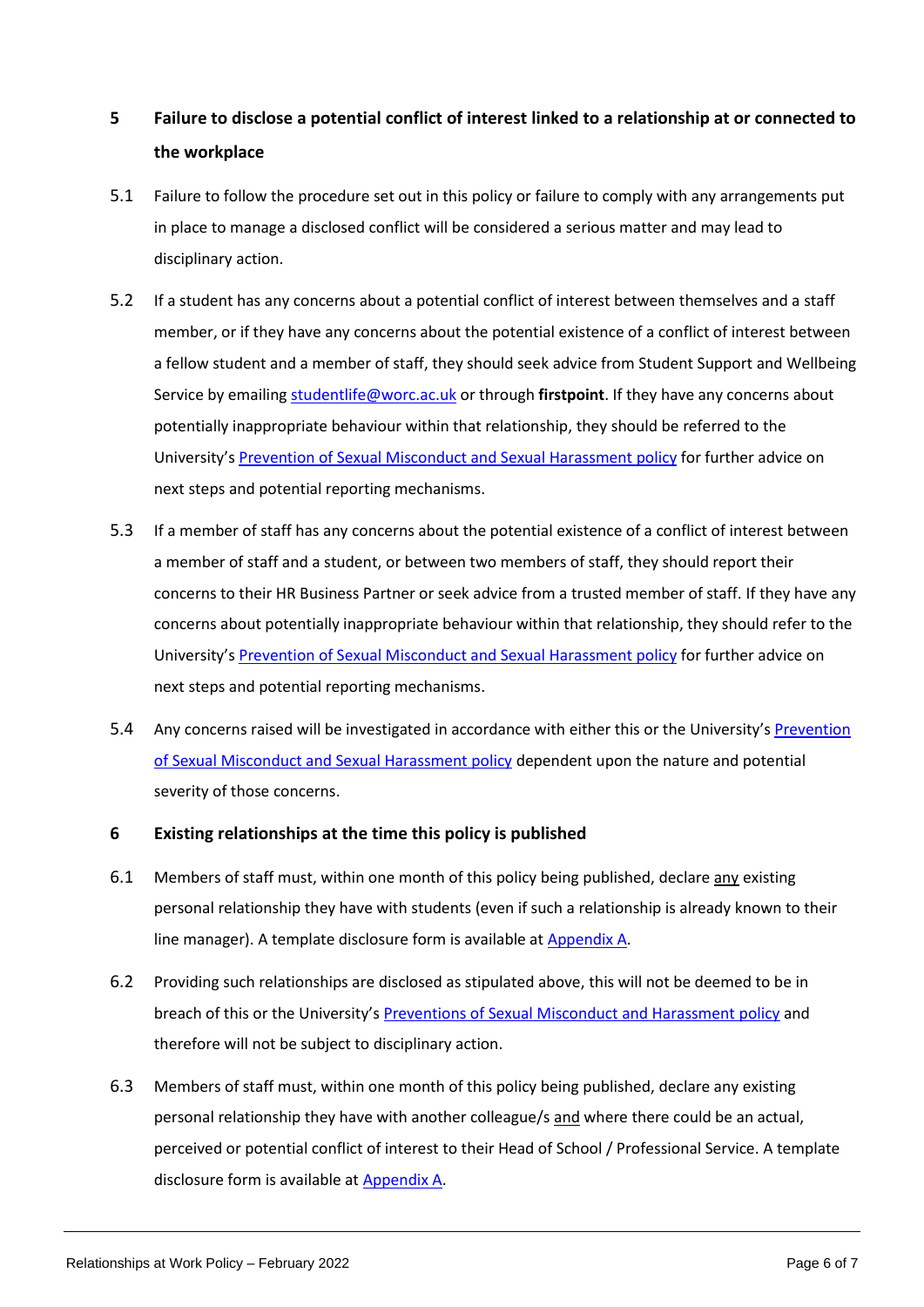# <span id="page-5-0"></span>**5 Failure to disclose a potential conflict of interest linked to a relationship at or connected to the workplace**

- 5.1 Failure to follow the procedure set out in this policy or failure to comply with any arrangements put in place to manage a disclosed conflict will be considered a serious matter and may lead to disciplinary action.
- 5.2 If a student has any concerns about a potential conflict of interest between themselves and a staff member, or if they have any concerns about the potential existence of a conflict of interest between a fellow student and a member of staff, they should seek advice from Student Support and Wellbeing Service by emailin[g studentlife@worc.ac.uk](mailto:studentlife@worc.ac.uk) or through **firstpoint**. If they have any concerns about potentially inappropriate behaviour within that relationship, they should be referred to the University's [Prevention of Sexual Misconduct and Sexual Harassment](https://sexual-misconduct.wp.worc.ac.uk/wp-content/uploads/2022/02/Prevention-of-Sexual-Misconduct-and-Sexual-Harassment-Policy-202122.pdf) policy for further advice on next steps and potential reporting mechanisms.
- 5.3 If a member of staff has any concerns about the potential existence of a conflict of interest between a member of staff and a student, or between two members of staff, they should report their concerns to their HR Business Partner or seek advice from a trusted member of staff. If they have any concerns about potentially inappropriate behaviour within that relationship, they should refer to the University's [Prevention of Sexual Misconduct and Sexual Harassment policy](https://sexual-misconduct.wp.worc.ac.uk/wp-content/uploads/2022/02/Prevention-of-Sexual-Misconduct-and-Sexual-Harassment-Policy-202122.pdf) for further advice on next steps and potential reporting mechanisms.
- 5.4 Any concerns raised will be investigated in accordance with either this or the University's [Prevention](https://sexual-misconduct.wp.worc.ac.uk/wp-content/uploads/2022/02/Prevention-of-Sexual-Misconduct-and-Sexual-Harassment-Policy-202122.pdf)  [of Sexual Misconduct and Sexual Harassment policy](https://sexual-misconduct.wp.worc.ac.uk/wp-content/uploads/2022/02/Prevention-of-Sexual-Misconduct-and-Sexual-Harassment-Policy-202122.pdf) dependent upon the nature and potential severity of those concerns.

# <span id="page-5-1"></span>**6 Existing relationships at the time this policy is published**

- 6.1 Members of staff must, within one month of this policy being published, declare any existing personal relationship they have with students (even if such a relationship is already known to their line manager). A template disclosure form is available at [Appendix A.](https://www2.worc.ac.uk/personnel/documents/Relationships-at-Work-Policy-Appendix-A-Staff-Disclosure-Form.docx)
- 6.2 Providing such relationships are disclosed as stipulated above, this will not be deemed to be in breach of this or the University's [Preventions of Sexual Misconduct and Harassment policy](https://sexual-misconduct.wp.worc.ac.uk/wp-content/uploads/2022/02/Prevention-of-Sexual-Misconduct-and-Sexual-Harassment-Policy-202122.pdf) and therefore will not be subject to disciplinary action.
- 6.3 Members of staff must, within one month of this policy being published, declare any existing personal relationship they have with another colleague/s and where there could be an actual, perceived or potential conflict of interest to their Head of School / Professional Service. A template disclosure form is available at [Appendix A.](https://www2.worc.ac.uk/personnel/documents/Relationships-at-Work-Policy-Appendix-A-Staff-Disclosure-Form.docx)